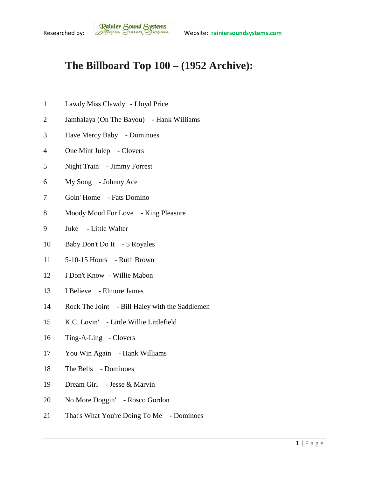## **The Billboard Top 100 – (1952 Archive):**

- Lawdy Miss Clawdy Lloyd Price
- Jambalaya (On The Bayou) Hank Williams
- Have Mercy Baby Dominoes
- One Mint Julep Clovers
- Night Train Jimmy Forrest
- My Song Johnny Ace
- Goin' Home Fats Domino
- 8 Moody Mood For Love King Pleasure
- Juke Little Walter
- Baby Don't Do It 5 Royales
- 5-10-15 Hours Ruth Brown
- I Don't Know Willie Mabon
- I Believe Elmore James
- Rock The Joint Bill Haley with the Saddlemen
- K.C. Lovin' Little Willie Littlefield
- Ting-A-Ling Clovers
- You Win Again Hank Williams
- The Bells Dominoes
- Dream Girl Jesse & Marvin
- No More Doggin' Rosco Gordon
- That's What You're Doing To Me Dominoes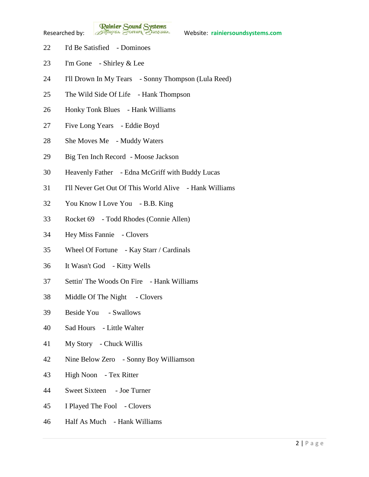**Rainier Sound Systems**<br>Researched by: *Bothuges* Conner Charantee Website: rainiersoundsystems.com

- I'd Be Satisfied Dominoes
- I'm Gone Shirley & Lee
- I'll Drown In My Tears Sonny Thompson (Lula Reed)
- The Wild Side Of Life Hank Thompson
- Honky Tonk Blues Hank Williams
- Five Long Years Eddie Boyd
- She Moves Me Muddy Waters
- Big Ten Inch Record Moose Jackson
- Heavenly Father Edna McGriff with Buddy Lucas
- I'll Never Get Out Of This World Alive Hank Williams
- You Know I Love You B.B. King
- Rocket 69 Todd Rhodes (Connie Allen)
- Hey Miss Fannie Clovers
- Wheel Of Fortune Kay Starr / Cardinals
- It Wasn't God Kitty Wells
- Settin' The Woods On Fire Hank Williams
- 38 Middle Of The Night Clovers
- Beside You Swallows
- Sad Hours Little Walter
- My Story Chuck Willis
- Nine Below Zero Sonny Boy Williamson
- High Noon Tex Ritter
- Sweet Sixteen Joe Turner
- I Played The Fool Clovers
- Half As Much Hank Williams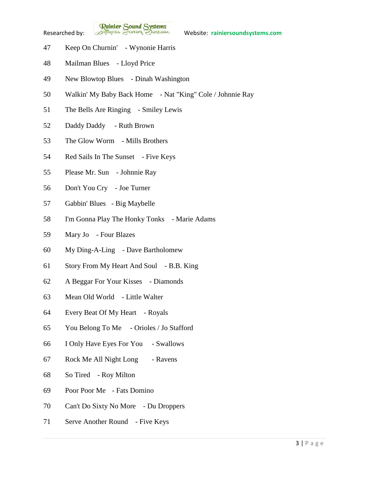**Rainier Sound Systems**<br>Researched by: *Bothuges* Conner Charantee Website: rainiersoundsystems.com

- Keep On Churnin' Wynonie Harris
- Mailman Blues Lloyd Price
- New Blowtop Blues Dinah Washington
- Walkin' My Baby Back Home Nat "King" Cole / Johnnie Ray
- The Bells Are Ringing Smiley Lewis
- Daddy Daddy Ruth Brown
- The Glow Worm Mills Brothers
- 54 Red Sails In The Sunset Five Keys
- Please Mr. Sun Johnnie Ray
- Don't You Cry Joe Turner
- Gabbin' Blues Big Maybelle
- I'm Gonna Play The Honky Tonks Marie Adams
- Mary Jo Four Blazes
- My Ding-A-Ling Dave Bartholomew
- Story From My Heart And Soul B.B. King
- A Beggar For Your Kisses Diamonds
- Mean Old World Little Walter
- Every Beat Of My Heart Royals
- You Belong To Me Orioles / Jo Stafford
- I Only Have Eyes For You Swallows
- 67 Rock Me All Night Long Ravens
- So Tired Roy Milton
- Poor Poor Me Fats Domino
- Can't Do Sixty No More Du Droppers
- Serve Another Round Five Keys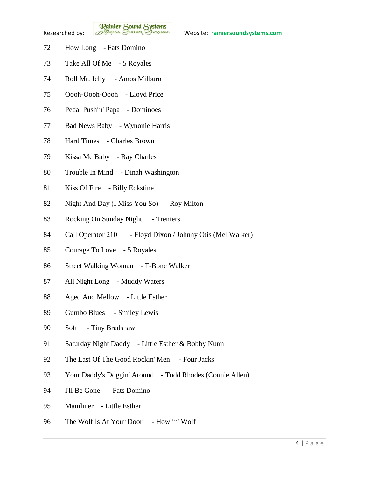**Rainier Sound Systems**<br>Researched by: *Bothuges* Conner Charantee Website: rainiersoundsystems.com

- How Long Fats Domino
- Take All Of Me 5 Royales
- Roll Mr. Jelly Amos Milburn
- Oooh-Oooh-Oooh Lloyd Price
- Pedal Pushin' Papa Dominoes
- Bad News Baby Wynonie Harris
- Hard Times Charles Brown
- Kissa Me Baby Ray Charles
- Trouble In Mind Dinah Washington
- Kiss Of Fire Billy Eckstine
- Night And Day (I Miss You So) Roy Milton
- 83 Rocking On Sunday Night Treniers
- Call Operator 210 Floyd Dixon / Johnny Otis (Mel Walker)
- Courage To Love 5 Royales
- Street Walking Woman T-Bone Walker
- All Night Long Muddy Waters
- Aged And Mellow Little Esther
- Gumbo Blues Smiley Lewis
- Soft Tiny Bradshaw
- Saturday Night Daddy Little Esther & Bobby Nunn
- The Last Of The Good Rockin' Men Four Jacks
- Your Daddy's Doggin' Around Todd Rhodes (Connie Allen)
- I'll Be Gone Fats Domino
- Mainliner Little Esther
- 96 The Wolf Is At Your Door Howlin' Wolf